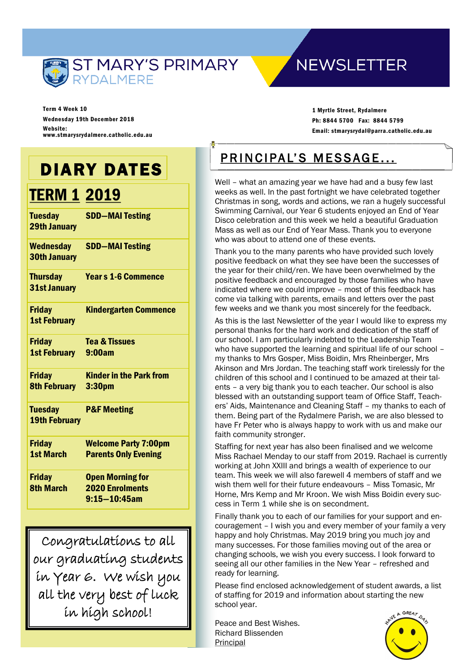

## **NEWSLETTER**

Term 4 Week 10 Wednesday 19th December 2018 Website: www.stmarysrydalmere.catholic.edu.au

## DIARY DATES

## **TERM 1 2019**

| <b>Tuesday</b><br><b>29th January</b>   | <b>SDD-MAI Testing</b>         |
|-----------------------------------------|--------------------------------|
| <b>Wednesday</b><br><b>30th January</b> | <b>SDD-MAI Testing</b>         |
| <b>Thursday</b><br>31st January         | <b>Years 1-6 Commence</b>      |
| <b>Friday</b><br><b>1st February</b>    | <b>Kindergarten Commence</b>   |
| <b>Friday</b>                           | <b>Tea &amp; Tissues</b>       |
| <b>1st February</b>                     | 9:00am                         |
| <b>Friday</b>                           | <b>Kinder in the Park from</b> |
| <b>8th February</b>                     | 3:30 <sub>pm</sub>             |
| <b>Tuesday</b>                          | <b>P&amp;F Meeting</b>         |
| <b>19th February</b>                    |                                |
| <b>Friday</b>                           | <b>Welcome Party 7:00pm</b>    |
| <b>1st March</b>                        | <b>Parents Only Evening</b>    |
| <b>Friday</b>                           | <b>Open Morning for</b>        |
| <b>8th March</b>                        | <b>2020 Enrolments</b>         |
|                                         | 9:15-10:45am                   |

Congratulations to all our graduating students in Year 6. We wish you all the very best of luck in high school!

1 Myrtle Street, Rydalmere Ph: 8844 5700 Fax: 8844 5799 Email: stmarysrydal@parra.catholic.edu.au

## PRINCIPAL'S MESSAGE...

Well – what an amazing year we have had and a busy few last weeks as well. In the past fortnight we have celebrated together Christmas in song, words and actions, we ran a hugely successful Swimming Carnival, our Year 6 students enjoyed an End of Year Disco celebration and this week we held a beautiful Graduation Mass as well as our End of Year Mass. Thank you to everyone who was about to attend one of these events.

Thank you to the many parents who have provided such lovely positive feedback on what they see have been the successes of the year for their child/ren. We have been overwhelmed by the positive feedback and encouraged by those families who have indicated where we could improve – most of this feedback has come via talking with parents, emails and letters over the past few weeks and we thank you most sincerely for the feedback.

As this is the last Newsletter of the year I would like to express my personal thanks for the hard work and dedication of the staff of our school. I am particularly indebted to the Leadership Team who have supported the learning and spiritual life of our school my thanks to Mrs Gosper, Miss Boidin, Mrs Rheinberger, Mrs Akinson and Mrs Jordan. The teaching staff work tirelessly for the children of this school and I continued to be amazed at their talents – a very big thank you to each teacher. Our school is also blessed with an outstanding support team of Office Staff, Teachers' Aids, Maintenance and Cleaning Staff – my thanks to each of them. Being part of the Rydalmere Parish, we are also blessed to have Fr Peter who is always happy to work with us and make our faith community stronger.

Staffing for next year has also been finalised and we welcome Miss Rachael Menday to our staff from 2019. Rachael is currently working at John XXIII and brings a wealth of experience to our team. This week we will also farewell 4 members of staff and we wish them well for their future endeavours – Miss Tomasic, Mr Horne, Mrs Kemp and Mr Kroon. We wish Miss Boidin every success in Term 1 while she is on secondment.

Finally thank you to each of our families for your support and encouragement – I wish you and every member of your family a very happy and holy Christmas. May 2019 bring you much joy and many successes. For those families moving out of the area or changing schools, we wish you every success. I look forward to seeing all our other families in the New Year – refreshed and ready for learning.

Please find enclosed acknowledgement of student awards, a list of staffing for 2019 and information about starting the new school year.

Peace and Best Wishes. Richard Blissenden Principal

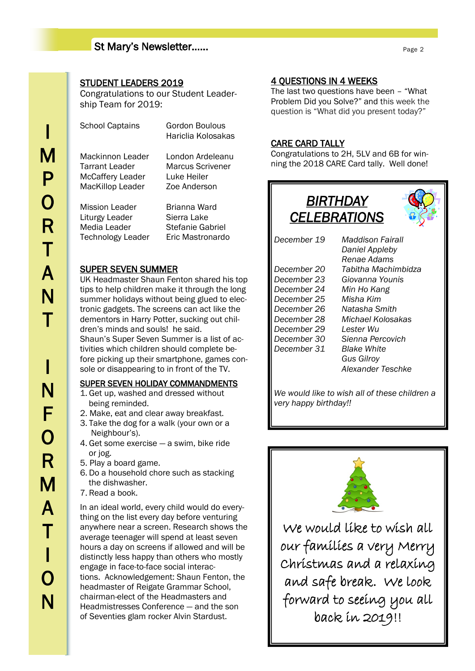#### St Mary's Newsletter……

#### STUDENT LEADERS 2019

Congratulations to our Student Leadership Team for 2019:

| <b>School Captains</b>  | Gordon Boulous<br>Hariclia Kolosakas |
|-------------------------|--------------------------------------|
| Mackinnon Leader        | London Ardeleanu                     |
| Tarrant Leader          | Marcus Scrivener                     |
| <b>McCaffery Leader</b> | Luke Heiler                          |
| <b>MacKillop Leader</b> | Zoe Anderson                         |
| <b>Mission Leader</b>   | Brianna Ward                         |
| Liturgy Leader          | Sierra Lake                          |
| Media Leader            | Stefanie Gabriel                     |

Technology Leader Eric Mastronardo

#### SUPER SEVEN SUMMER

UK Headmaster Shaun Fenton shared his top tips to help children make it through the long summer holidays without being glued to electronic gadgets. The screens can act like the dementors in Harry Potter, sucking out children's minds and souls! he said. Shaun's Super Seven Summer is a list of activities which children should complete before picking up their smartphone, games console or disappearing to in front of the TV.

#### SUPER SEVEN HOLIDAY COMMANDMENTS

- 1. Get up, washed and dressed without being reminded.
- 2. Make, eat and clear away breakfast.
- 3. Take the dog for a walk (your own or a Neighbour's).
- 4. Get some exercise a swim, bike ride or jog.
- 5. Play a board game.
- 6. Do a household chore such as stacking the dishwasher.
- 7. Read a book.

In an ideal world, every child would do everything on the list every day before venturing anywhere near a screen. Research shows the average teenager will spend at least seven hours a day on screens if allowed and will be distinctly less happy than others who mostly engage in face-to-face social interactions. Acknowledgement: Shaun Fenton, the headmaster of Reigate Grammar School, chairman-elect of the Headmasters and Headmistresses Conference — and the son of Seventies glam rocker Alvin Stardust.

#### 4 QUESTIONS IN 4 WEEKS

The last two questions have been – "What Problem Did you Solve?" and this week the question is "What did you present today?"

#### CARE CARD TALLY

Congratulations to 2H, 5LV and 6B for winning the 2018 CARE Card tally. Well done!



|             | Daniel Appleby            |
|-------------|---------------------------|
|             | Renae Adams               |
| December 20 | Tabitha Machimbidza       |
| December 23 | Giovanna Younis           |
| December 24 | Min Ho Kang               |
| December 25 | Misha Kim                 |
| December 26 | Natasha Smith             |
| December 28 | Michael Kolosakas         |
| December 29 | Lester Wu                 |
| December 30 | Sienna Percovich          |
| December 31 | <i><b>Blake White</b></i> |
|             | Gus Gilroy                |
|             | Alexander Teschke         |
|             |                           |

*We would like to wish all of these children a very happy birthday!!*



We would like to wish all our families a very Merry Christmas and a relaxing and safe break. We look forward to seeing you all back in 2019!!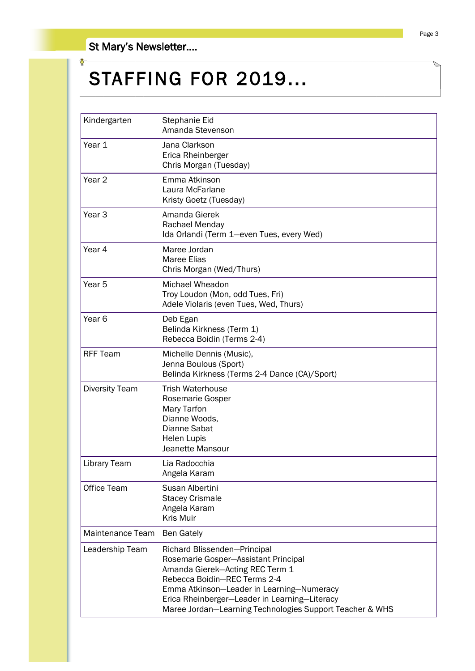St Mary's Newsletter….

## STAFFING FOR 2019...

| Kindergarten        | Stephanie Eid<br>Amanda Stevenson                                                                                                                                                                                                                                                                 |  |
|---------------------|---------------------------------------------------------------------------------------------------------------------------------------------------------------------------------------------------------------------------------------------------------------------------------------------------|--|
| Year 1              | Jana Clarkson<br>Erica Rheinberger<br>Chris Morgan (Tuesday)                                                                                                                                                                                                                                      |  |
| Year <sub>2</sub>   | Emma Atkinson<br>Laura McFarlane<br>Kristy Goetz (Tuesday)                                                                                                                                                                                                                                        |  |
| Year <sub>3</sub>   | Amanda Gierek<br>Rachael Menday<br>Ida Orlandi (Term 1-even Tues, every Wed)                                                                                                                                                                                                                      |  |
| Year 4              | Maree Jordan<br><b>Maree Elias</b><br>Chris Morgan (Wed/Thurs)                                                                                                                                                                                                                                    |  |
| Year 5              | <b>Michael Wheadon</b><br>Troy Loudon (Mon, odd Tues, Fri)<br>Adele Violaris (even Tues, Wed, Thurs)                                                                                                                                                                                              |  |
| Year <sub>6</sub>   | Deb Egan<br>Belinda Kirkness (Term 1)<br>Rebecca Boidin (Terms 2-4)                                                                                                                                                                                                                               |  |
| <b>RFF Team</b>     | Michelle Dennis (Music),<br>Jenna Boulous (Sport)<br>Belinda Kirkness (Terms 2-4 Dance (CA)/Sport)                                                                                                                                                                                                |  |
| Diversity Team      | <b>Trish Waterhouse</b><br>Rosemarie Gosper<br>Mary Tarfon<br>Dianne Woods.<br>Dianne Sabat<br><b>Helen Lupis</b><br>Jeanette Mansour                                                                                                                                                             |  |
| <b>Library Team</b> | Lia Radocchia<br>Angela Karam                                                                                                                                                                                                                                                                     |  |
| Office Team         | Susan Albertini<br><b>Stacey Crismale</b><br>Angela Karam<br><b>Kris Muir</b>                                                                                                                                                                                                                     |  |
| Maintenance Team    | <b>Ben Gately</b>                                                                                                                                                                                                                                                                                 |  |
| Leadership Team     | Richard Blissenden-Principal<br>Rosemarie Gosper-Assistant Principal<br>Amanda Gierek-Acting REC Term 1<br>Rebecca Boidin-REC Terms 2-4<br>Emma Atkinson-Leader in Learning-Numeracy<br>Erica Rheinberger-Leader in Learning-Literacy<br>Maree Jordan-Learning Technologies Support Teacher & WHS |  |